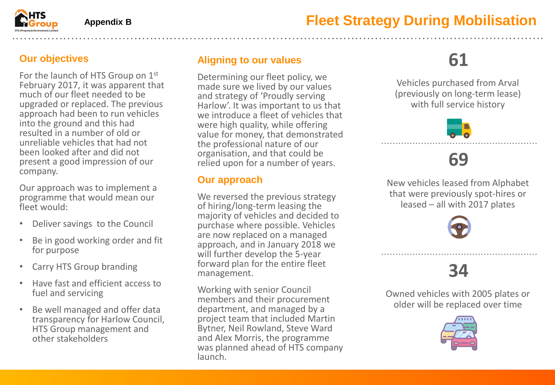#### **Our objectives**

For the launch of HTS Group on 1<sup>st</sup> February 2017, it was apparent that much of our fleet needed to be upgraded or replaced. The previous approach had been to run vehicles into the ground and this had resulted in a number of old or unreliable vehicles that had not been looked after and did not present a good impression of our company.

Our approach was to implement a programme that would mean our fleet would:

- Deliver savings to the Council
- Be in good working order and fit for purpose
- Carry HTS Group branding
- Have fast and efficient access to fuel and servicing
- Be well managed and offer data transparency for Harlow Council, HTS Group management and other stakeholders

### **Aligning to our values**

Determining our fleet policy, we made sure we lived by our values and strategy of 'Proudly serving Harlow'. It was important to us that we introduce a fleet of vehicles that were high quality, while offering value for money, that demonstrated the professional nature of our organisation, and that could be relied upon for a number of years.

#### **Our approach**

We reversed the previous strategy of hiring/long-term leasing the majority of vehicles and decided to purchase where possible. Vehicles are now replaced on a managed approach, and in January 2018 we will further develop the 5-year forward plan for the entire fleet management.

Working with senior Council members and their procurement department, and managed by a project team that included Martin Bytner, Neil Rowland, Steve Ward and Alex Morris, the programme was planned ahead of HTS company launch.

# **61**

Vehicles purchased from Arval (previously on long-term lease) with full service history



### **69**

New vehicles leased from Alphabet that were previously spot-hires or leased – all with 2017 plates



## **34**

Owned vehicles with 2005 plates or older will be replaced over time